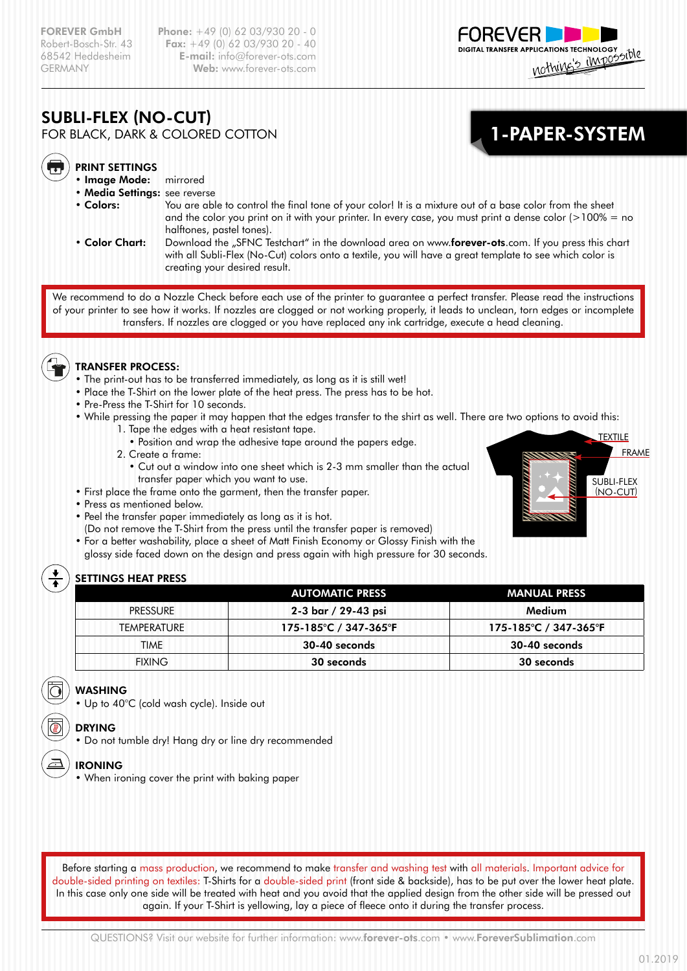**FOREVER GmbH Phone:** +49 (0) 62 03/930 20 - 0 Robert-Bosch-Str. 43 **Fax:**  $+49$  (0) 62 03/930 20 - 40<br>68542 Heddesheim **E-mail:** info@forever-ots.com E-mail: info@forever-ots.com GERMANY Web: www.forever-ots.com



1-PAPER-SYSTEM

# SUBLI-FLEX (NO-CUT)

FOR BLACK, DARK & COLORED COTTON



#### PRINT SETTINGS

- Image Mode: mirrored
- Media Settings: see reverse
- 
- 
- Colors: You are able to control the final tone of your color! It is a mixture out of a base color from the sheet and the color you print on it with your printer. In every case, you must print a dense color  $(>100\% =$  no halftones, pastel tones).
- Color Chart: Download the "SFNC Testchart" in the download area on www.forever-ots.com. If you press this chart with all Subli-Flex (No-Cut) colors onto a textile, you will have a great template to see which color is creating your desired result.

We recommend to do a Nozzle Check before each use of the printer to guarantee a perfect transfer. Please read the instructions of your printer to see how it works. If nozzles are clogged or not working properly, it leads to unclean, torn edges or incomplete transfers. If nozzles are clogged or you have replaced any ink cartridge, execute a head cleaning.



### TRANSFER PROCESS:

- The print-out has to be transferred immediately, as long as it is still wet!
- Place the T-Shirt on the lower plate of the heat press. The press has to be hot.
- Pre-Press the T-Shirt for 10 seconds.
- While pressing the paper it may happen that the edges transfer to the shirt as well. There are two options to avoid this:
	- 1. Tape the edges with a heat resistant tape.
		- Position and wrap the adhesive tape around the papers edge.
	- 2. Create a frame:
		- Cut out a window into one sheet which is 2-3 mm smaller than the actual transfer paper which you want to use.
- First place the frame onto the garment, then the transfer paper.
- Press as mentioned below.
- Peel the transfer paper immediately as long as it is hot.
	- (Do not remove the T-Shirt from the press until the transfer paper is removed)
- For a better washability, place a sheet of Matt Finish Economy or Glossy Finish with the glossy side faced down on the design and press again with high pressure for 30 seconds.

## SETTINGS HEAT PRESS

|                    | <b>AUTOMATIC PRESS</b> | <b>MANUAL PRESS</b> |
|--------------------|------------------------|---------------------|
| <b>PRESSURE</b>    | 2-3 bar / 29-43 psi    | Medium              |
| <b>TEMPERATURE</b> | 175-185°C / 347-365°F  | 175-185℃ / 347-365℉ |
| TIMF               | 30-40 seconds          | 30-40 seconds       |
| <b>FIXING</b>      | 30 seconds             | 30 seconds          |

## WASHING

• Up to 40°C (cold wash cycle). Inside out

## DRYING

• Do not tumble dry! Hang dry or line dry recommended

#### IRONING

• When ironing cover the print with baking paper

Before starting a mass production, we recommend to make transfer and washing test with all materials. Important advice for double-sided printing on textiles: T-Shirts for a double-sided print (front side & backside), has to be put over the lower heat plate. In this case only one side will be treated with heat and you avoid that the applied design from the other side will be pressed out again. If your T-Shirt is yellowing, lay a piece of fleece onto it during the transfer process.